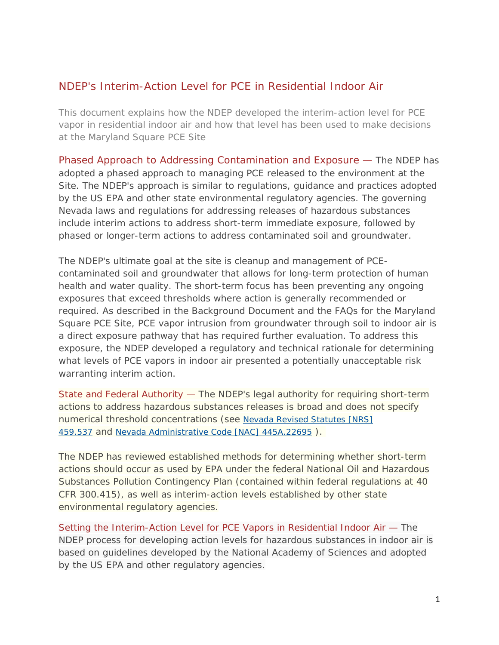## NDEP's Interim-Action Level for PCE in Residential Indoor Air

This document explains how the NDEP developed the interim-action level for PCE vapor in residential indoor air and how that level has been used to make decisions at the Maryland Square PCE Site

Phased Approach to Addressing Contamination and Exposure — The NDEP has adopted a phased approach to managing PCE released to the environment at the Site. The NDEP's approach is similar to regulations, guidance and practices adopted by the US EPA and other state environmental regulatory agencies. The governing Nevada laws and regulations for addressing releases of hazardous substances include interim actions to address short-term immediate exposure, followed by phased or longer-term actions to address contaminated soil and groundwater.

The NDEP's ultimate goal at the site is cleanup and management of PCEcontaminated soil and groundwater that allows for long-term protection of human health and water quality. The short-term focus has been preventing any ongoing exposures that exceed thresholds where action is generally recommended or required. As described in the Background Document and the FAQs for the Maryland Square PCE Site, PCE vapor intrusion from groundwater through soil to indoor air is a direct exposure pathway that has required further evaluation. To address this exposure, the NDEP developed a regulatory and technical rationale for determining what levels of PCE vapors in indoor air presented a potentially unacceptable risk warranting interim action.

State and Federal Authority — The NDEP's legal authority for requiring short-term actions to address hazardous substances releases is broad and does not specify numerical threshold concentrations (see [Nevada Revised Statutes \[NRS\]](http://www.leg.state.nv.us/NRS/)  [459.537](http://www.leg.state.nv.us/NRS/) and [Nevada Administrative Code \[NAC\] 445A.22695](http://leg.state.nv.us/nac/NAC-445A.html) ).

The NDEP has reviewed established methods for determining whether short-term actions should occur as used by EPA under the federal National Oil and Hazardous Substances Pollution Contingency Plan (contained within federal regulations at 40 CFR 300.415), as well as interim-action levels established by other state environmental regulatory agencies.

Setting the Interim-Action Level for PCE Vapors in Residential Indoor Air — The NDEP process for developing action levels for hazardous substances in indoor air is based on guidelines developed by the National Academy of Sciences and adopted by the US EPA and other regulatory agencies.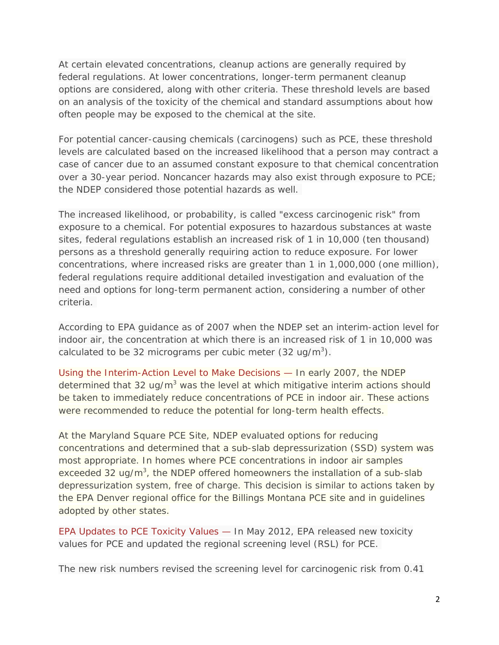At certain elevated concentrations, cleanup actions are generally required by federal regulations. At lower concentrations, longer-term permanent cleanup options are considered, along with other criteria. These threshold levels are based on an analysis of the toxicity of the chemical and standard assumptions about how often people may be exposed to the chemical at the site.

For potential cancer-causing chemicals (carcinogens) such as PCE, these threshold levels are calculated based on the increased likelihood that a person may contract a case of cancer due to an assumed constant exposure to that chemical concentration over a 30-year period. Noncancer hazards may also exist through exposure to PCE; the NDEP considered those potential hazards as well.

The increased likelihood, or probability, is called "excess carcinogenic risk" from exposure to a chemical. For potential exposures to hazardous substances at waste sites, federal regulations establish an increased risk of 1 in 10,000 (ten thousand) persons as a threshold generally requiring action to reduce exposure. For lower concentrations, where increased risks are greater than 1 in 1,000,000 (one million), federal regulations require additional detailed investigation and evaluation of the need and options for long-term permanent action, considering a number of other criteria.

According to EPA guidance as of 2007 when the NDEP set an interim-action level for indoor air, the concentration at which there is an increased risk of 1 in 10,000 was calculated to be 32 micrograms per cubic meter (32 ug/m<sup>3</sup>).

Using the Interim-Action Level to Make Decisions — In early 2007, the NDEP determined that  $32 \text{ uq/m}^3$  was the level at which mitigative interim actions should be taken to immediately reduce concentrations of PCE in indoor air. These actions were recommended to reduce the potential for long-term health effects.

At the Maryland Square PCE Site, NDEP evaluated options for reducing concentrations and determined that a sub-slab depressurization (SSD) system was most appropriate. In homes where PCE concentrations in indoor air samples exceeded 32 ug/m<sup>3</sup>, the NDEP offered homeowners the installation of a sub-slab depressurization system, free of charge. This decision is similar to actions taken by the EPA Denver regional office for the Billings Montana PCE site and in guidelines adopted by other states.

EPA Updates to PCE Toxicity Values — In May 2012, EPA released new toxicity values for PCE and updated the regional screening level (RSL) for PCE.

The new risk numbers revised the screening level for carcinogenic risk from 0.41